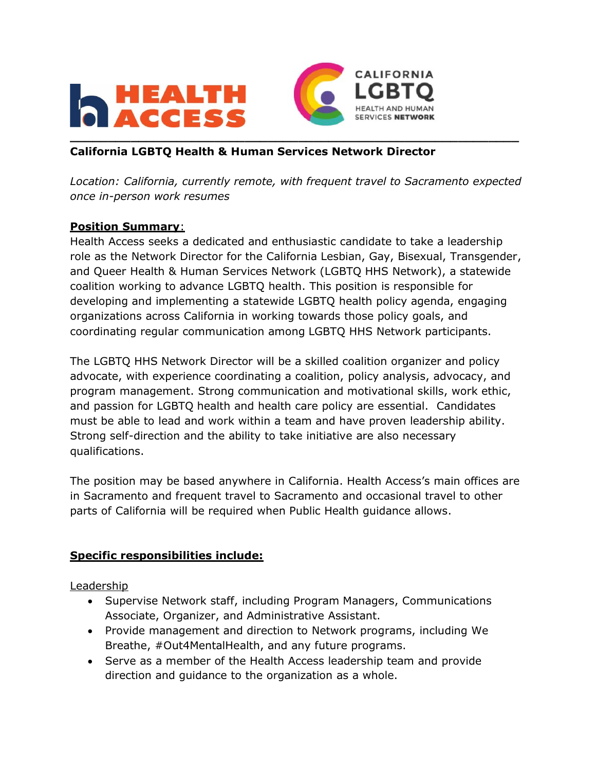



### **California LGBTQ Health & Human Services Network Director**

*Location: California, currently remote, with frequent travel to Sacramento expected once in-person work resumes*

#### **Position Summary**:

Health Access seeks a dedicated and enthusiastic candidate to take a leadership role as the Network Director for the California Lesbian, Gay, Bisexual, Transgender, and Queer Health & Human Services Network (LGBTQ HHS Network), a statewide coalition working to advance LGBTQ health. This position is responsible for developing and implementing a statewide LGBTQ health policy agenda, engaging organizations across California in working towards those policy goals, and coordinating regular communication among LGBTQ HHS Network participants.

The LGBTQ HHS Network Director will be a skilled coalition organizer and policy advocate, with experience coordinating a coalition, policy analysis, advocacy, and program management. Strong communication and motivational skills, work ethic, and passion for LGBTQ health and health care policy are essential. Candidates must be able to lead and work within a team and have proven leadership ability. Strong self-direction and the ability to take initiative are also necessary qualifications.

The position may be based anywhere in California. Health Access's main offices are in Sacramento and frequent travel to Sacramento and occasional travel to other parts of California will be required when Public Health guidance allows.

#### **Specific responsibilities include:**

Leadership

- Supervise Network staff, including Program Managers, Communications Associate, Organizer, and Administrative Assistant.
- Provide management and direction to Network programs, including We Breathe, #Out4MentalHealth, and any future programs.
- Serve as a member of the Health Access leadership team and provide direction and guidance to the organization as a whole.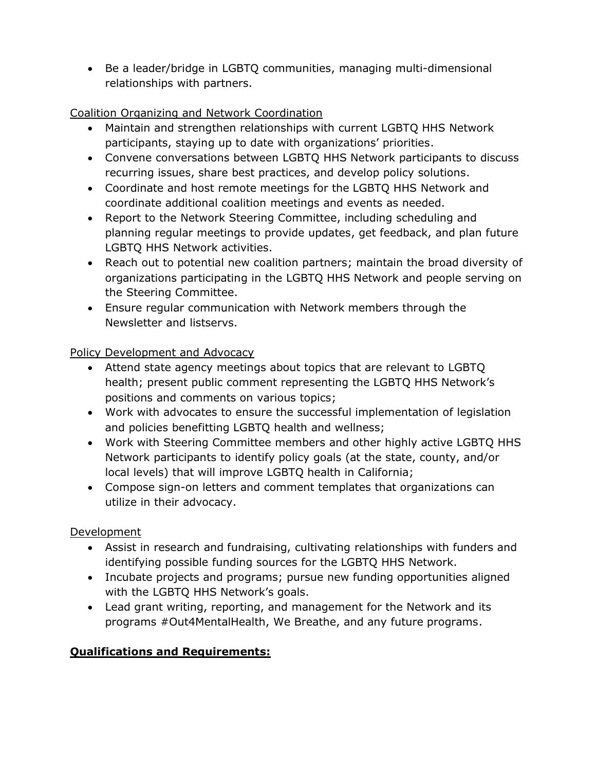• Be a leader/bridge in LGBTQ communities, managing multi-dimensional relationships with partners.

### Coalition Organizing and Network Coordination

- Maintain and strengthen relationships with current LGBTQ HHS Network participants, staying up to date with organizations' priorities.
- Convene conversations between LGBTQ HHS Network participants to discuss recurring issues, share best practices, and develop policy solutions.
- Coordinate and host remote meetings for the LGBTQ HHS Network and coordinate additional coalition meetings and events as needed.
- Report to the Network Steering Committee, including scheduling and planning regular meetings to provide updates, get feedback, and plan future LGBTQ HHS Network activities.
- Reach out to potential new coalition partners; maintain the broad diversity of organizations participating in the LGBTQ HHS Network and people serving on the Steering Committee.
- Ensure regular communication with Network members through the Newsletter and listservs.

Policy Development and Advocacy

- Attend state agency meetings about topics that are relevant to LGBTQ health; present public comment representing the LGBTQ HHS Network's positions and comments on various topics;
- Work with advocates to ensure the successful implementation of legislation and policies benefitting LGBTQ health and wellness;
- Work with Steering Committee members and other highly active LGBTQ HHS Network participants to identify policy goals (at the state, county, and/or local levels) that will improve LGBTQ health in California;
- Compose sign-on letters and comment templates that organizations can utilize in their advocacy.

# **Development**

- Assist in research and fundraising, cultivating relationships with funders and identifying possible funding sources for the LGBTQ HHS Network.
- Incubate projects and programs; pursue new funding opportunities aligned with the LGBTQ HHS Network's goals.
- Lead grant writing, reporting, and management for the Network and its programs #Out4MentalHealth, We Breathe, and any future programs.

# **Qualifications and Requirements:**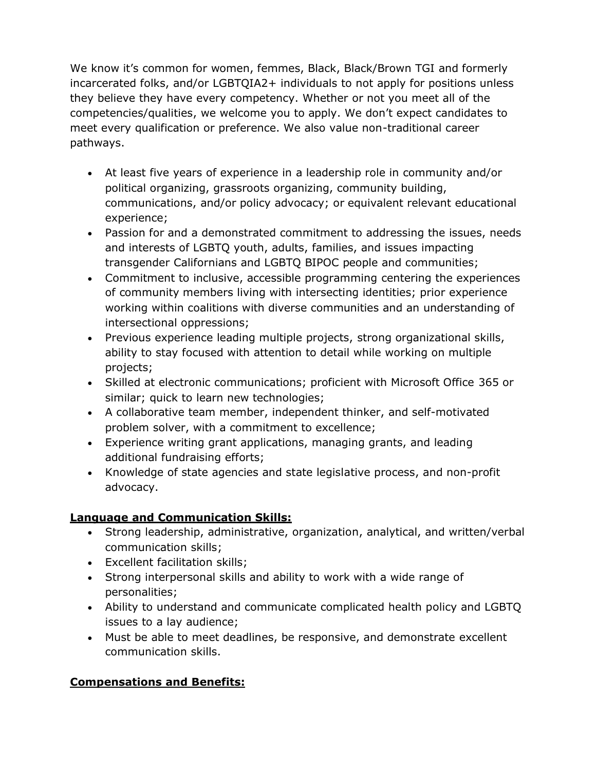We know it's common for women, femmes, Black, Black/Brown TGI and formerly incarcerated folks, and/or LGBTQIA2+ individuals to not apply for positions unless they believe they have every competency. Whether or not you meet all of the competencies/qualities, we welcome you to apply. We don't expect candidates to meet every qualification or preference. We also value non-traditional career pathways.

- At least five years of experience in a leadership role in community and/or political organizing, grassroots organizing, community building, communications, and/or policy advocacy; or equivalent relevant educational experience;
- Passion for and a demonstrated commitment to addressing the issues, needs and interests of LGBTQ youth, adults, families, and issues impacting transgender Californians and LGBTQ BIPOC people and communities;
- Commitment to inclusive, accessible programming centering the experiences of community members living with intersecting identities; prior experience working within coalitions with diverse communities and an understanding of intersectional oppressions;
- Previous experience leading multiple projects, strong organizational skills, ability to stay focused with attention to detail while working on multiple projects;
- Skilled at electronic communications; proficient with Microsoft Office 365 or similar; quick to learn new technologies;
- A collaborative team member, independent thinker, and self-motivated problem solver, with a commitment to excellence;
- Experience writing grant applications, managing grants, and leading additional fundraising efforts;
- Knowledge of state agencies and state legislative process, and non-profit advocacy.

# **Language and Communication Skills:**

- Strong leadership, administrative, organization, analytical, and written/verbal communication skills;
- Excellent facilitation skills;
- Strong interpersonal skills and ability to work with a wide range of personalities;
- Ability to understand and communicate complicated health policy and LGBTQ issues to a lay audience;
- Must be able to meet deadlines, be responsive, and demonstrate excellent communication skills.

# **Compensations and Benefits:**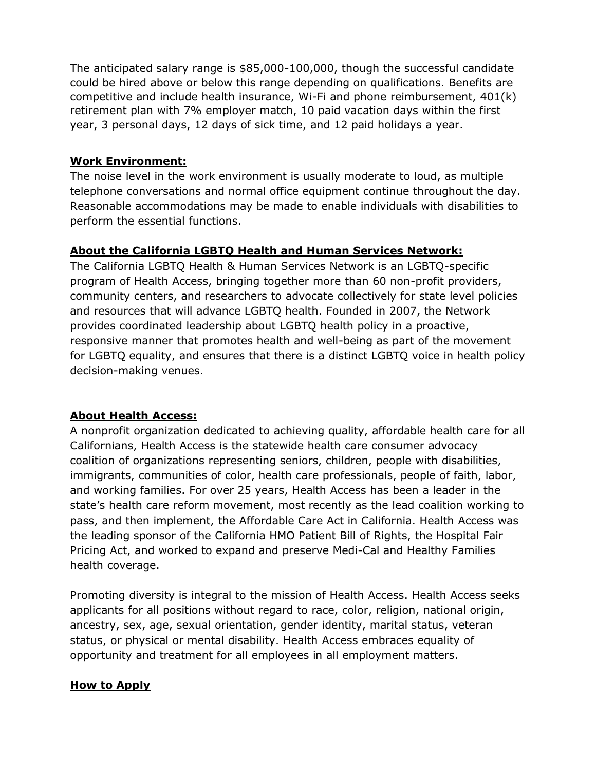The anticipated salary range is \$85,000-100,000, though the successful candidate could be hired above or below this range depending on qualifications. Benefits are competitive and include health insurance, Wi-Fi and phone reimbursement, 401(k) retirement plan with 7% employer match, 10 paid vacation days within the first year, 3 personal days, 12 days of sick time, and 12 paid holidays a year.

### **Work Environment:**

The noise level in the work environment is usually moderate to loud, as multiple telephone conversations and normal office equipment continue throughout the day. Reasonable accommodations may be made to enable individuals with disabilities to perform the essential functions.

### **About the California LGBTQ Health and Human Services Network:**

The California LGBTQ Health & Human Services Network is an LGBTQ-specific program of Health Access, bringing together more than 60 non-profit providers, community centers, and researchers to advocate collectively for state level policies and resources that will advance LGBTQ health. Founded in 2007, the Network provides coordinated leadership about LGBTQ health policy in a proactive, responsive manner that promotes health and well-being as part of the movement for LGBTQ equality, and ensures that there is a distinct LGBTQ voice in health policy decision-making venues.

### **About Health Access:**

A nonprofit organization dedicated to achieving quality, affordable health care for all Californians, Health Access is the statewide health care consumer advocacy coalition of organizations representing seniors, children, people with disabilities, immigrants, communities of color, health care professionals, people of faith, labor, and working families. For over 25 years, Health Access has been a leader in the state's health care reform movement, most recently as the lead coalition working to pass, and then implement, the Affordable Care Act in California. Health Access was the leading sponsor of the California HMO Patient Bill of Rights, the Hospital Fair Pricing Act, and worked to expand and preserve Medi-Cal and Healthy Families health coverage.

Promoting diversity is integral to the mission of Health Access. Health Access seeks applicants for all positions without regard to race, color, religion, national origin, ancestry, sex, age, sexual orientation, gender identity, marital status, veteran status, or physical or mental disability. Health Access embraces equality of opportunity and treatment for all employees in all employment matters.

#### **How to Apply**